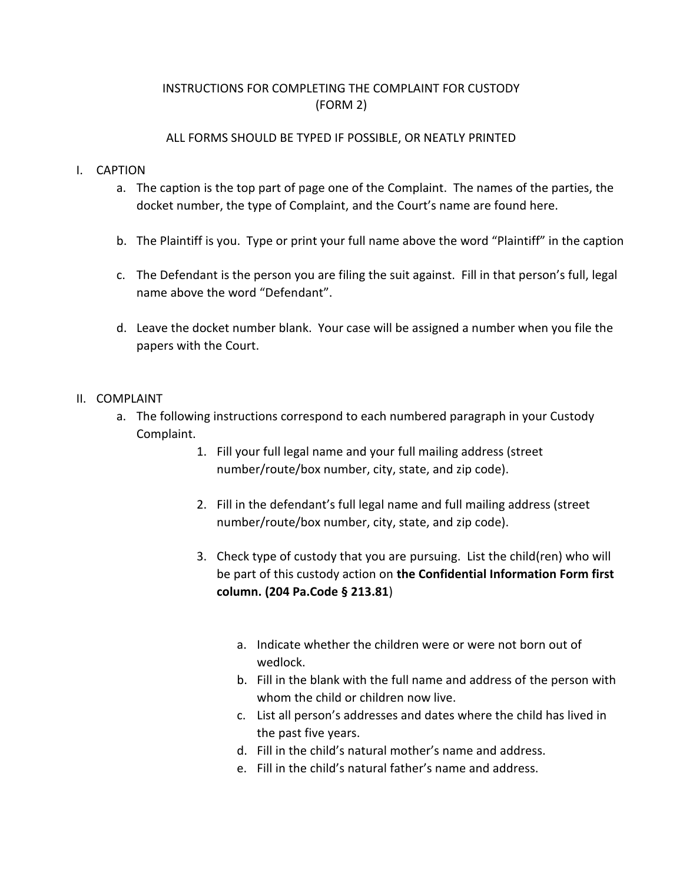### INSTRUCTIONS FOR COMPLETING THE COMPLAINT FOR CUSTODY (FORM 2)

#### ALL FORMS SHOULD BE TYPED IF POSSIBLE, OR NEATLY PRINTED

#### I. CAPTION

- a. The caption is the top part of page one of the Complaint. The names of the parties, the docket number, the type of Complaint, and the Court's name are found here.
- b. The Plaintiff is you. Type or print your full name above the word "Plaintiff" in the caption
- c. The Defendant is the person you are filing the suit against. Fill in that person's full, legal name above the word "Defendant".
- d. Leave the docket number blank. Your case will be assigned a number when you file the papers with the Court.

#### II. COMPLAINT

- a. The following instructions correspond to each numbered paragraph in your Custody Complaint.
	- 1. Fill your full legal name and your full mailing address (street number/route/box number, city, state, and zip code).
	- 2. Fill in the defendant's full legal name and full mailing address (street number/route/box number, city, state, and zip code).
	- 3. Check type of custody that you are pursuing. List the child(ren) who will be part of this custody action on **the Confidential Information Form first column. (204 Pa.Code § 213.81**)
		- a. Indicate whether the children were or were not born out of wedlock.
		- b. Fill in the blank with the full name and address of the person with whom the child or children now live.
		- c. List all person's addresses and dates where the child has lived in the past five years.
		- d. Fill in the child's natural mother's name and address.
		- e. Fill in the child's natural father's name and address.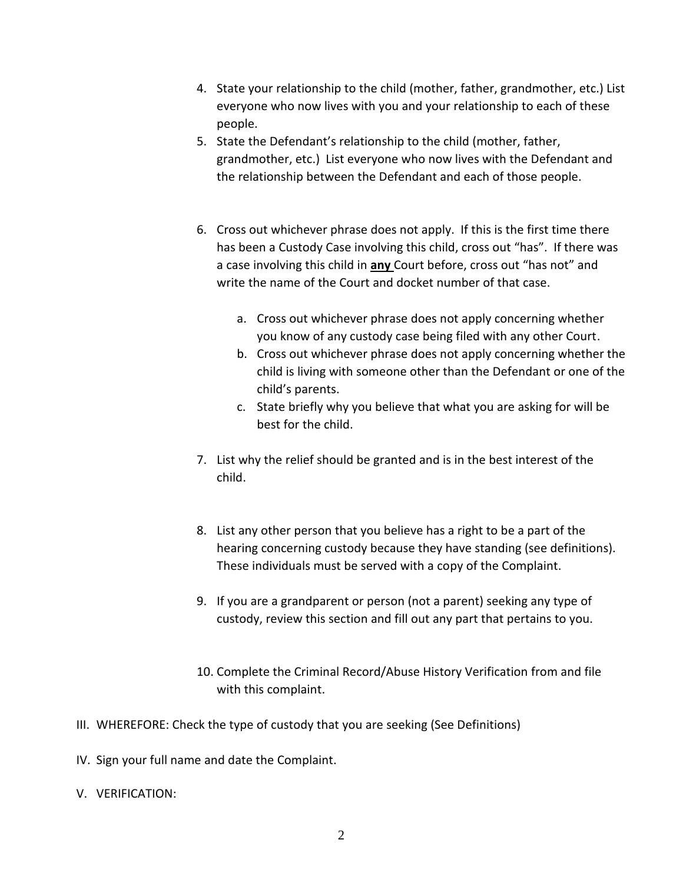- 4. State your relationship to the child (mother, father, grandmother, etc.) List everyone who now lives with you and your relationship to each of these people.
- 5. State the Defendant's relationship to the child (mother, father, grandmother, etc.) List everyone who now lives with the Defendant and the relationship between the Defendant and each of those people.
- 6. Cross out whichever phrase does not apply. If this is the first time there has been a Custody Case involving this child, cross out "has". If there was a case involving this child in **any** Court before, cross out "has not" and write the name of the Court and docket number of that case.
	- a. Cross out whichever phrase does not apply concerning whether you know of any custody case being filed with any other Court.
	- b. Cross out whichever phrase does not apply concerning whether the child is living with someone other than the Defendant or one of the child's parents.
	- c. State briefly why you believe that what you are asking for will be best for the child.
- 7. List why the relief should be granted and is in the best interest of the child.
- 8. List any other person that you believe has a right to be a part of the hearing concerning custody because they have standing (see definitions). These individuals must be served with a copy of the Complaint.
- 9. If you are a grandparent or person (not a parent) seeking any type of custody, review this section and fill out any part that pertains to you.
- 10. Complete the Criminal Record/Abuse History Verification from and file with this complaint.
- III. WHEREFORE: Check the type of custody that you are seeking (See Definitions)
- IV. Sign your full name and date the Complaint.
- V. VERIFICATION: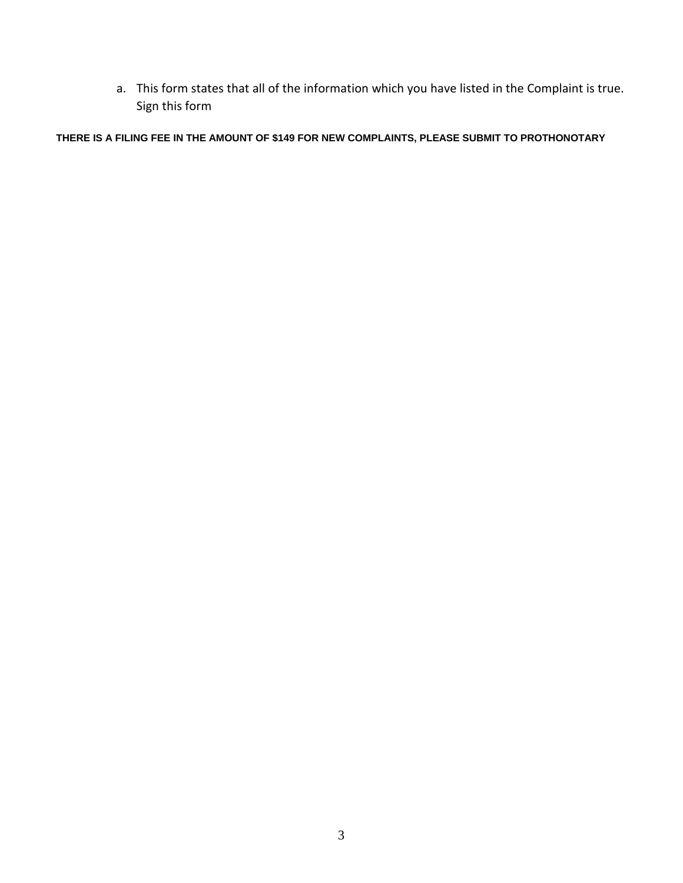a. This form states that all of the information which you have listed in the Complaint is true. Sign this form

**THERE IS A FILING FEE IN THE AMOUNT OF \$149 FOR NEW COMPLAINTS, PLEASE SUBMIT TO PROTHONOTARY**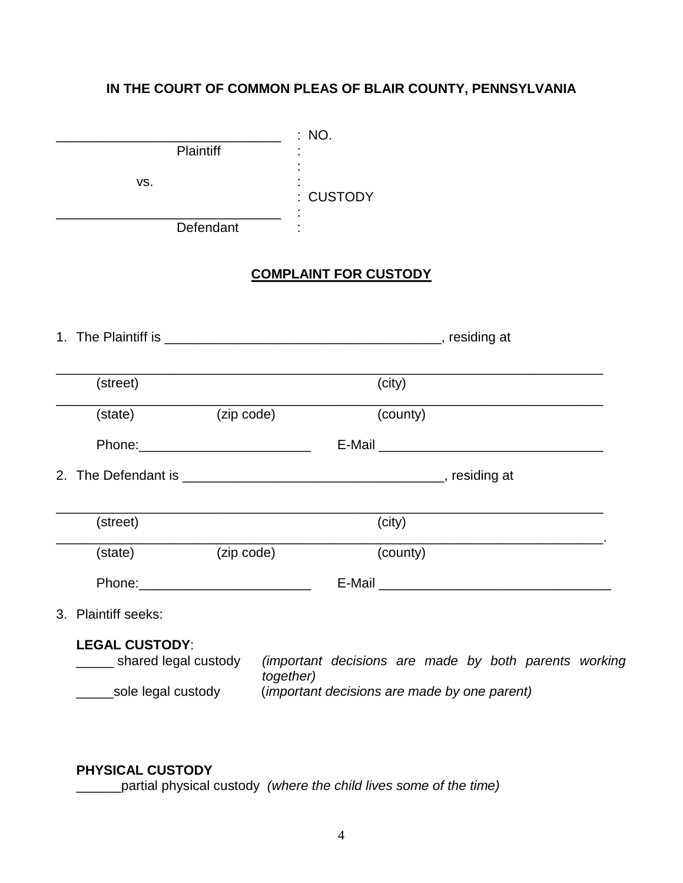# **IN THE COURT OF COMMON PLEAS OF BLAIR COUNTY, PENNSYLVANIA**

|     |                                              |                      |           | NO.                                          |                                                       |  |
|-----|----------------------------------------------|----------------------|-----------|----------------------------------------------|-------------------------------------------------------|--|
|     | Plaintiff                                    |                      |           |                                              |                                                       |  |
| VS. |                                              |                      |           | <b>CUSTODY</b>                               |                                                       |  |
|     |                                              | Defendant            |           |                                              |                                                       |  |
|     |                                              |                      |           | <b>COMPLAINT FOR CUSTODY</b>                 |                                                       |  |
|     |                                              |                      |           |                                              |                                                       |  |
|     | (street)                                     |                      |           | (city)                                       |                                                       |  |
|     | (state)                                      | (zip code)           |           | (county)                                     |                                                       |  |
|     |                                              |                      |           |                                              |                                                       |  |
|     |                                              |                      |           |                                              |                                                       |  |
|     | (street)                                     |                      |           | (city)                                       |                                                       |  |
|     | (state)                                      | (zip code)           |           | (county)                                     |                                                       |  |
|     | Phone:_______________________________        |                      |           |                                              |                                                       |  |
|     | 3. Plaintiff seeks:                          |                      |           |                                              |                                                       |  |
|     | <b>LEGAL CUSTODY:</b><br>_sole legal custody | shared legal custody | together) | (important decisions are made by one parent) | (important decisions are made by both parents working |  |

## **PHYSICAL CUSTODY**

\_\_\_\_\_\_partial physical custody *(where the child lives some of the time)*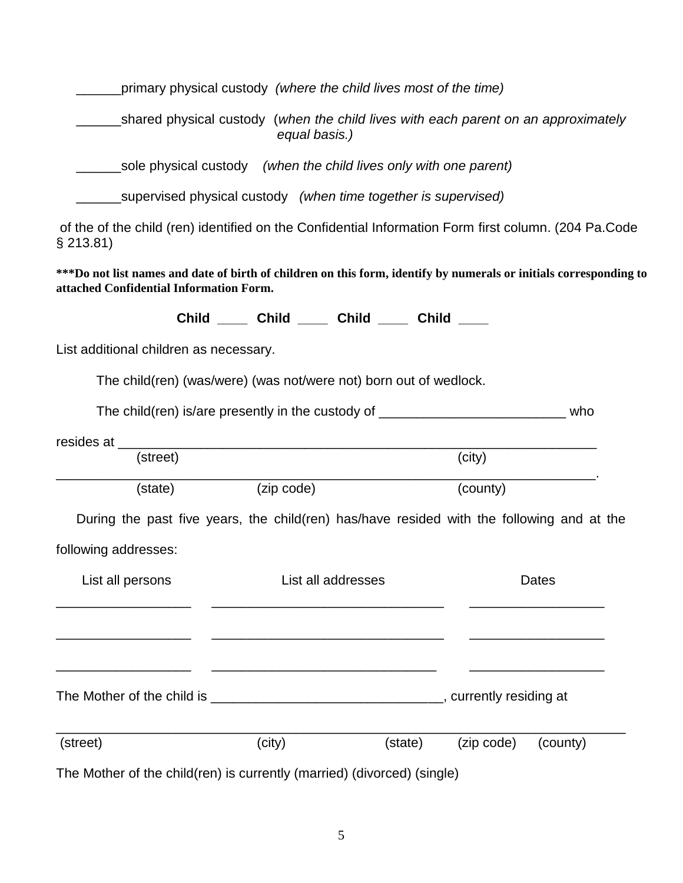\_\_\_\_\_\_primary physical custody *(where the child lives most of the time)*

\_\_\_\_\_\_shared physical custody (*when the child lives with each parent on an approximately equal basis.)*

\_\_\_\_\_\_sole physical custody *(when the child lives only with one parent)*

\_\_\_\_\_\_supervised physical custody *(when time together is supervised)*

of the of the child (ren) identified on the Confidential Information Form first column. (204 Pa.Code § 213.81)

**\*\*\*Do not list names and date of birth of children on this form, identify by numerals or initials corresponding to attached Confidential Information Form.** 

**Child \_\_\_\_ Child \_\_\_\_ Child \_\_\_\_ Child \_\_\_\_**

List additional children as necessary.

The child(ren) (was/were) (was not/were not) born out of wedlock.

The child(ren) is/are presently in the custody of \_\_\_\_\_\_\_\_\_\_\_\_\_\_\_\_\_\_\_\_\_\_\_\_\_\_\_\_\_\_

| resides at _________                                                                      |            |                    |            |          |  |
|-------------------------------------------------------------------------------------------|------------|--------------------|------------|----------|--|
| (street)                                                                                  |            |                    | (city)     |          |  |
| (state)                                                                                   | (zip code) |                    | (county)   |          |  |
| During the past five years, the child(ren) has/have resided with the following and at the |            |                    |            |          |  |
| following addresses:                                                                      |            |                    |            |          |  |
| List all persons                                                                          |            | List all addresses |            | Dates    |  |
|                                                                                           |            |                    |            |          |  |
|                                                                                           |            |                    |            |          |  |
| (street)                                                                                  | (city)     | (state)            | (zip code) | (county) |  |
| The Mother of the child(ren) is currently (married) (divorced) (single)                   |            |                    |            |          |  |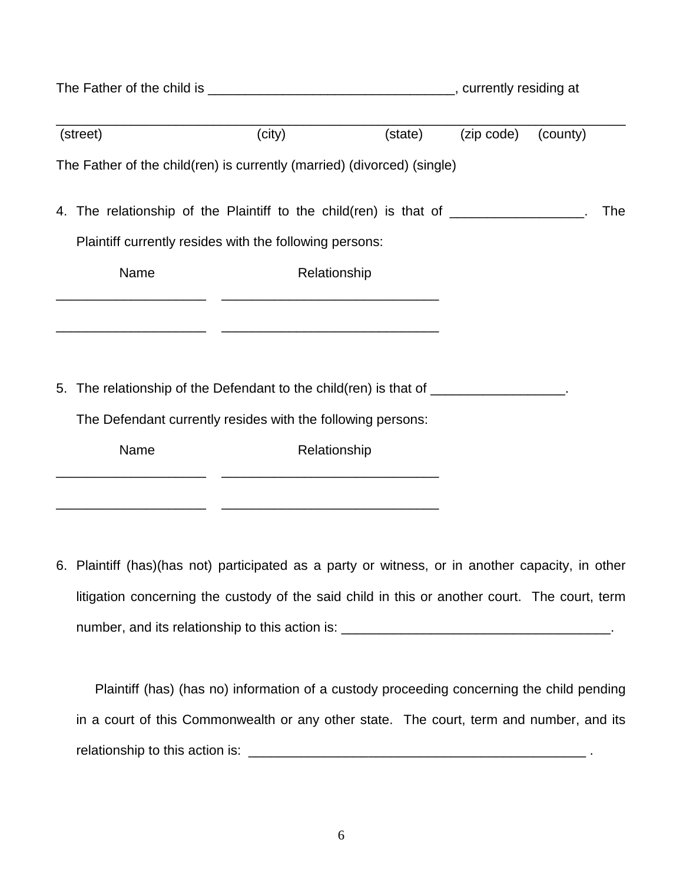|  | (street)                                                                              | (city)       | (state) | (zip code) | (county) |            |
|--|---------------------------------------------------------------------------------------|--------------|---------|------------|----------|------------|
|  | The Father of the child(ren) is currently (married) (divorced) (single)               |              |         |            |          |            |
|  | 4. The relationship of the Plaintiff to the child(ren) is that of _________________.  |              |         |            |          | <b>The</b> |
|  | Plaintiff currently resides with the following persons:                               |              |         |            |          |            |
|  | Name                                                                                  | Relationship |         |            |          |            |
|  |                                                                                       |              |         |            |          |            |
|  |                                                                                       |              |         |            |          |            |
|  | 5. The relationship of the Defendant to the child(ren) is that of __________________. |              |         |            |          |            |
|  | The Defendant currently resides with the following persons:                           |              |         |            |          |            |
|  | Name                                                                                  | Relationship |         |            |          |            |
|  |                                                                                       |              |         |            |          |            |
|  |                                                                                       |              |         |            |          |            |

6. Plaintiff (has)(has not) participated as a party or witness, or in another capacity, in other litigation concerning the custody of the said child in this or another court. The court, term number, and its relationship to this action is: \_\_\_\_\_\_\_\_\_\_\_\_\_\_\_\_\_\_\_\_\_\_\_\_\_\_\_\_\_\_\_\_\_\_\_\_.

 Plaintiff (has) (has no) information of a custody proceeding concerning the child pending in a court of this Commonwealth or any other state. The court, term and number, and its relationship to this action is: \_\_\_\_\_\_\_\_\_\_\_\_\_\_\_\_\_\_\_\_\_\_\_\_\_\_\_\_\_\_\_\_\_\_\_\_\_\_\_\_\_\_\_\_\_ .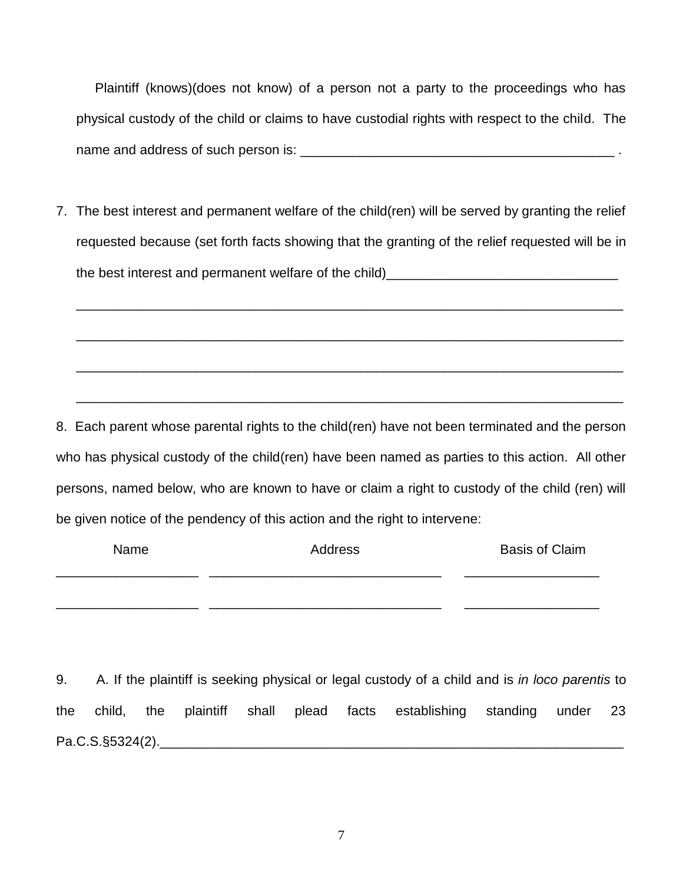Plaintiff (knows)(does not know) of a person not a party to the proceedings who has physical custody of the child or claims to have custodial rights with respect to the child. The name and address of such person is: \_\_\_\_\_\_\_\_\_\_\_\_\_\_\_\_\_\_\_\_\_\_\_\_\_\_\_\_\_\_\_\_\_\_\_\_\_\_\_\_\_\_ .

7. The best interest and permanent welfare of the child(ren) will be served by granting the relief requested because (set forth facts showing that the granting of the relief requested will be in the best interest and permanent welfare of the child)\_\_\_\_\_\_\_\_\_\_\_\_\_\_\_\_\_\_\_\_\_\_\_\_\_\_\_\_

\_\_\_\_\_\_\_\_\_\_\_\_\_\_\_\_\_\_\_\_\_\_\_\_\_\_\_\_\_\_\_\_\_\_\_\_\_\_\_\_\_\_\_\_\_\_\_\_\_\_\_\_\_\_\_\_\_\_\_\_\_\_\_\_\_\_\_\_\_\_\_\_\_

\_\_\_\_\_\_\_\_\_\_\_\_\_\_\_\_\_\_\_\_\_\_\_\_\_\_\_\_\_\_\_\_\_\_\_\_\_\_\_\_\_\_\_\_\_\_\_\_\_\_\_\_\_\_\_\_\_\_\_\_\_\_\_\_\_\_\_\_\_\_\_\_\_

\_\_\_\_\_\_\_\_\_\_\_\_\_\_\_\_\_\_\_\_\_\_\_\_\_\_\_\_\_\_\_\_\_\_\_\_\_\_\_\_\_\_\_\_\_\_\_\_\_\_\_\_\_\_\_\_\_\_\_\_\_\_\_\_\_\_\_\_\_\_\_\_\_

\_\_\_\_\_\_\_\_\_\_\_\_\_\_\_\_\_\_\_\_\_\_\_\_\_\_\_\_\_\_\_\_\_\_\_\_\_\_\_\_\_\_\_\_\_\_\_\_\_\_\_\_\_\_\_\_\_\_\_\_\_\_\_\_\_\_\_\_\_\_\_\_\_

8. Each parent whose parental rights to the child(ren) have not been terminated and the person who has physical custody of the child(ren) have been named as parties to this action. All other persons, named below, who are known to have or claim a right to custody of the child (ren) will be given notice of the pendency of this action and the right to intervene:

| Name | Address | <b>Basis of Claim</b> |
|------|---------|-----------------------|
|      |         |                       |

9. A. If the plaintiff is seeking physical or legal custody of a child and is *in loco parentis* to the child, the plaintiff shall plead facts establishing standing under 23 Pa.C.S.§5324(2).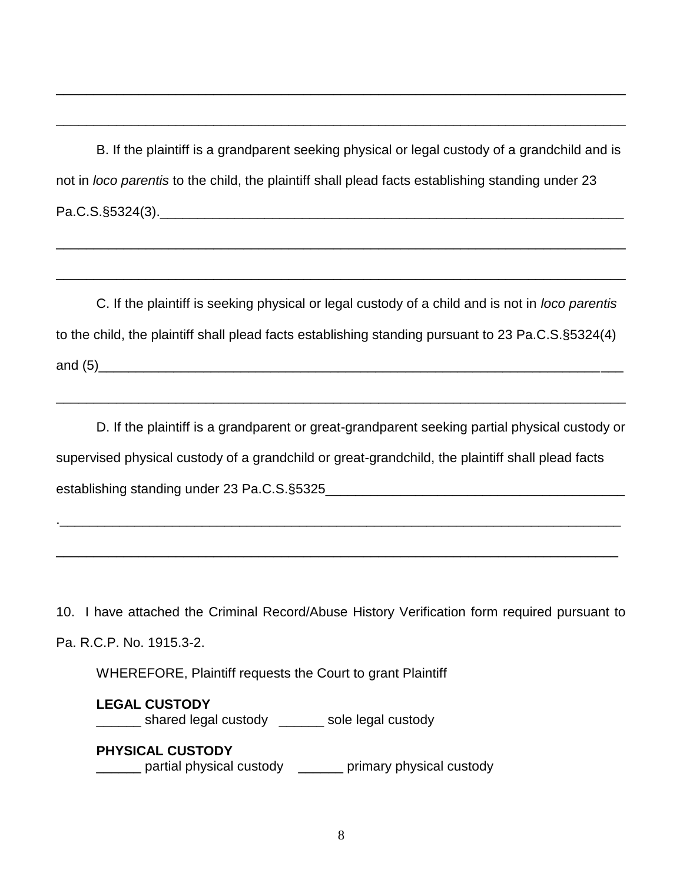B. If the plaintiff is a grandparent seeking physical or legal custody of a grandchild and is not in *loco parentis* to the child, the plaintiff shall plead facts establishing standing under 23 Pa.C.S.§5324(3).\_\_\_\_\_\_\_\_\_\_\_\_\_\_\_\_\_\_\_\_\_\_\_\_\_\_\_\_\_\_\_\_\_\_\_\_\_\_\_\_\_\_\_\_\_\_\_\_\_\_\_\_\_\_\_\_\_\_\_\_\_\_

\_\_\_\_\_\_\_\_\_\_\_\_\_\_\_\_\_\_\_\_\_\_\_\_\_\_\_\_\_\_\_\_\_\_\_\_\_\_\_\_\_\_\_\_\_\_\_\_\_\_\_\_\_\_\_\_\_\_\_\_\_\_\_\_\_\_\_\_\_\_\_\_\_\_\_\_

\_\_\_\_\_\_\_\_\_\_\_\_\_\_\_\_\_\_\_\_\_\_\_\_\_\_\_\_\_\_\_\_\_\_\_\_\_\_\_\_\_\_\_\_\_\_\_\_\_\_\_\_\_\_\_\_\_\_\_\_\_\_\_\_\_\_\_\_\_\_\_\_\_\_\_\_

\_\_\_\_\_\_\_\_\_\_\_\_\_\_\_\_\_\_\_\_\_\_\_\_\_\_\_\_\_\_\_\_\_\_\_\_\_\_\_\_\_\_\_\_\_\_\_\_\_\_\_\_\_\_\_\_\_\_\_\_\_\_\_\_\_\_\_\_\_\_\_\_\_\_\_\_

C. If the plaintiff is seeking physical or legal custody of a child and is not in *loco parentis*  to the child, the plaintiff shall plead facts establishing standing pursuant to 23 Pa.C.S.§5324(4) and  $(5)$ 

D. If the plaintiff is a grandparent or great-grandparent seeking partial physical custody or supervised physical custody of a grandchild or great-grandchild, the plaintiff shall plead facts establishing standing under 23 Pa.C.S.§5325\_\_\_\_\_\_\_\_\_\_\_\_\_\_\_\_\_\_\_\_\_\_\_\_\_\_\_\_\_\_\_\_\_\_\_\_\_\_\_\_

.\_\_\_\_\_\_\_\_\_\_\_\_\_\_\_\_\_\_\_\_\_\_\_\_\_\_\_\_\_\_\_\_\_\_\_\_\_\_\_\_\_\_\_\_\_\_\_\_\_\_\_\_\_\_\_\_\_\_\_\_\_\_\_\_\_\_\_\_\_\_\_\_\_\_\_

\_\_\_\_\_\_\_\_\_\_\_\_\_\_\_\_\_\_\_\_\_\_\_\_\_\_\_\_\_\_\_\_\_\_\_\_\_\_\_\_\_\_\_\_\_\_\_\_\_\_\_\_\_\_\_\_\_\_\_\_\_\_\_\_\_\_\_\_\_\_\_\_\_\_\_

\_\_\_\_\_\_\_\_\_\_\_\_\_\_\_\_\_\_\_\_\_\_\_\_\_\_\_\_\_\_\_\_\_\_\_\_\_\_\_\_\_\_\_\_\_\_\_\_\_\_\_\_\_\_\_\_\_\_\_\_\_\_\_\_\_\_\_\_\_\_\_\_\_\_\_\_

10. I have attached the Criminal Record/Abuse History Verification form required pursuant to

Pa. R.C.P. No. 1915.3-2.

WHEREFORE, Plaintiff requests the Court to grant Plaintiff

**LEGAL CUSTODY** \_\_\_\_\_\_ shared legal custody \_\_\_\_\_\_ sole legal custody

**PHYSICAL CUSTODY** \_\_\_\_\_\_ partial physical custody \_\_\_\_\_\_ primary physical custody